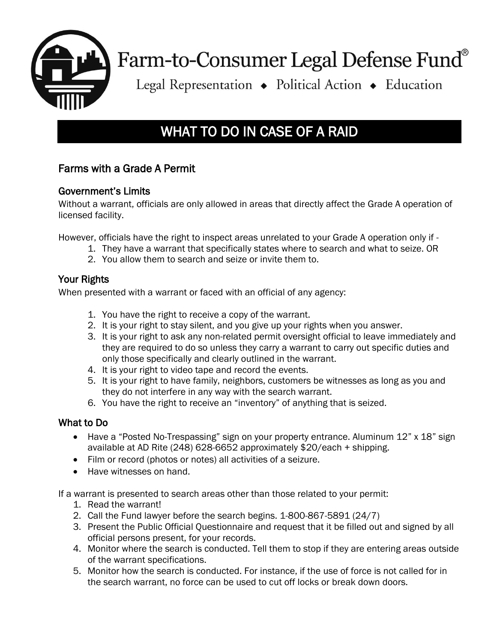

# Farm-to-Consumer Legal Defense Fund®

Legal Representation • Political Action • Education

# WHAT TO DO IN CASE OF A RAID

# Farms with a Grade A Permit

#### Government's Limits

Without a warrant, officials are only allowed in areas that directly affect the Grade A operation of licensed facility.

However, officials have the right to inspect areas unrelated to your Grade A operation only if -

- 1. They have a warrant that specifically states where to search and what to seize. OR
- 2. You allow them to search and seize or invite them to.

#### Your Rights

When presented with a warrant or faced with an official of any agency:

- 1. You have the right to receive a copy of the warrant.
- 2. It is your right to stay silent, and you give up your rights when you answer.
- 3. It is your right to ask any non-related permit oversight official to leave immediately and they are required to do so unless they carry a warrant to carry out specific duties and only those specifically and clearly outlined in the warrant.
- 4. It is your right to video tape and record the events.
- 5. It is your right to have family, neighbors, customers be witnesses as long as you and they do not interfere in any way with the search warrant.
- 6. You have the right to receive an "inventory" of anything that is seized.

#### What to Do

- Have a "Posted No-Trespassing" sign on your property entrance. Aluminum 12" x 18" sign available at AD Rite (248) 628-6652 approximately \$20/each + shipping.
- Film or record (photos or notes) all activities of a seizure.
- Have witnesses on hand.

If a warrant is presented to search areas other than those related to your permit:

- 1. Read the warrant!
- 2. Call the Fund lawyer before the search begins. 1-800-867-5891 (24/7)
- 3. Present the Public Official Questionnaire and request that it be filled out and signed by all official persons present, for your records.
- 4. Monitor where the search is conducted. Tell them to stop if they are entering areas outside of the warrant specifications.
- 5. Monitor how the search is conducted. For instance, if the use of force is not called for in the search warrant, no force can be used to cut off locks or break down doors.